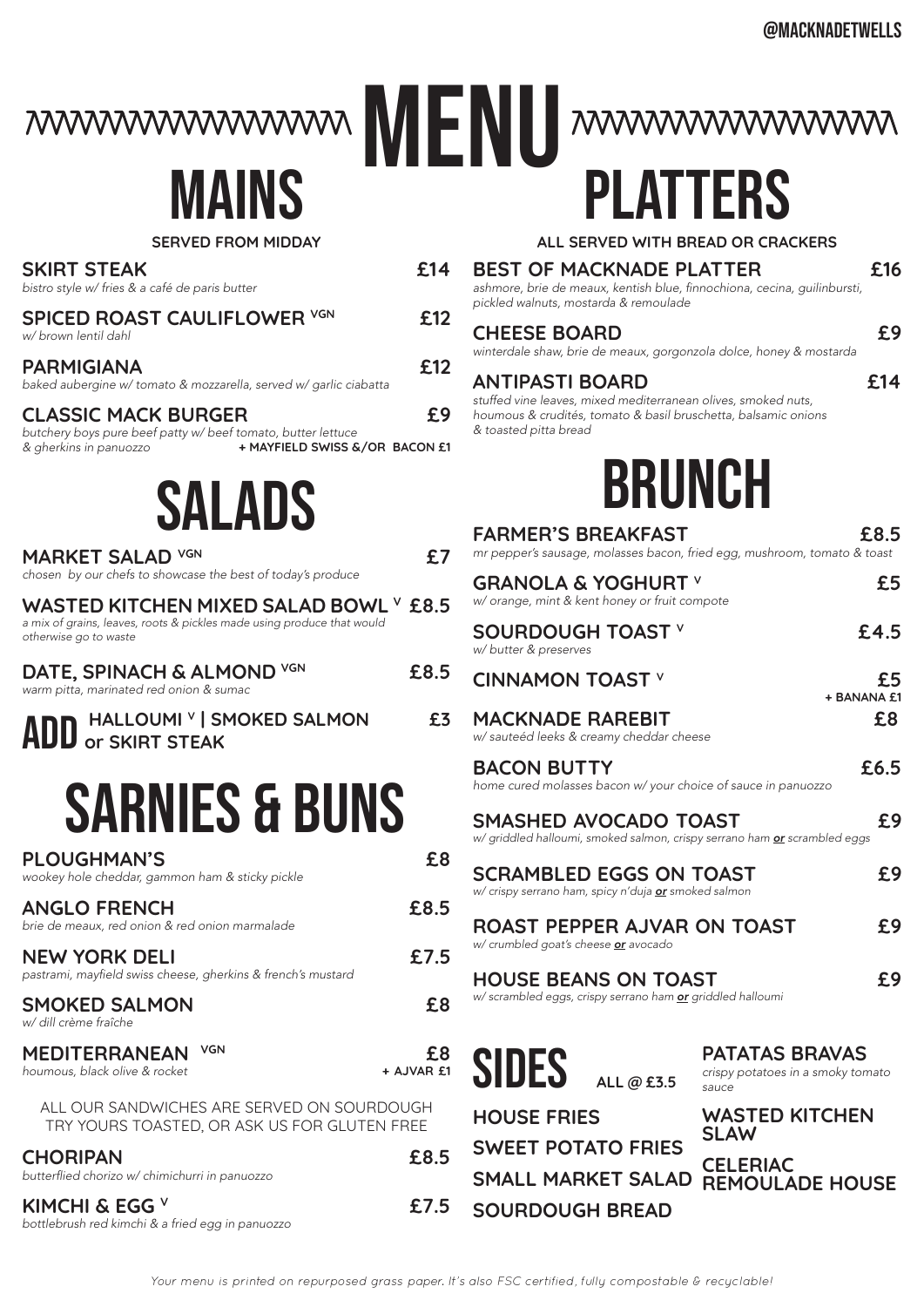mwwwwwwwwwwwwwwwwwwwwwwwwww

## **MAINS**

#### **SERVED FROM MIDDAY**

| bistro style w/ fries & a café de paris butter                                                                                                         |                   |
|--------------------------------------------------------------------------------------------------------------------------------------------------------|-------------------|
| <b>SPICED ROAST CAULIFLOWER VGN</b><br>w/ brown lentil dahl                                                                                            | £12               |
| PARMIGIANA<br>baked aubergine w/ tomato & mozzarella, served w/ garlic ciabatta                                                                        | £12               |
| <b>CLASSIC MACK BURGER</b><br>butchery boys pure beef patty w/ beef tomato, butter lettuce<br>+ MAYFIELD SWISS &/OR BACON £1<br>& gherkins in panuozzo | £9                |
| SALADS                                                                                                                                                 |                   |
| MARKET SALAD VGN<br>chosen by our chefs to showcase the best of today's produce                                                                        | £7                |
| WASTED KITCHEN MIXED SALAD BOWL $^\vee$ £8.5<br>a mix of grains, leaves, roots & pickles made using produce that would<br>otherwise go to waste        |                   |
| DATE, SPINACH & ALMOND VGN<br>warm pitta, marinated red onion & sumac                                                                                  | £8.5              |
| <b>ADD</b> HALLOUMI V   SMOKED SALMON                                                                                                                  | £3                |
| <b>SARNIES &amp; BUNS</b>                                                                                                                              |                   |
| <b>PLOUGHMAN'S</b><br>wookey hole cheddar, gammon ham & sticky pickle                                                                                  | £8                |
| <b>ANGLO FRENCH</b><br>brie de meaux, red onion & red onion marmalade                                                                                  | £8.5              |
| <b>NEW YORK DELI</b><br>pastrami, mayfield swiss cheese, gherkins & french's mustard                                                                   | £7.5              |
| <b>SMOKED SALMON</b><br>w/ dill crème fraîche                                                                                                          | £8                |
| <b>VGN</b><br><b>MEDITERRANEAN</b><br>houmous, black olive & rocket                                                                                    | £8<br>+ AJVAR f.1 |
| ALL OUR SANDWICHES ARE SERVED ON SOURDOUGH<br>TRY YOURS TOASTED, OR ASK US FOR GLUTEN FREE                                                             |                   |
| <b>CHORIPAN</b><br>butterflied chorizo w/ chimichurri in panuozzo                                                                                      | £8.5              |
| KIMCHI & EGG $^{\vee}$<br>bottlebrush red kimchi & a fried egg in panuozzo                                                                             | £7.5              |

| <b>MAINS</b>                                                                                                                                           |                  | <b>PLATTERS</b>                                                                                                                                          |                                                                     |
|--------------------------------------------------------------------------------------------------------------------------------------------------------|------------------|----------------------------------------------------------------------------------------------------------------------------------------------------------|---------------------------------------------------------------------|
| <b>SERVED FROM MIDDAY</b>                                                                                                                              |                  | ALL SERVED WITH BREAD OR CRACKERS                                                                                                                        |                                                                     |
| <b>SKIRT STEAK</b><br>bistro style w/ fries & a café de paris butter                                                                                   | £14              | <b>BEST OF MACKNADE PLATTER</b><br>ashmore, brie de meaux, kentish blue, finnochiona, cecina, guilinbursti,<br>pickled walnuts, mostarda & remoulade     | £16                                                                 |
| <b>SPICED ROAST CAULIFLOWER VGN</b><br>w/ brown lentil dahl                                                                                            | £12              | <b>CHEESE BOARD</b><br>winterdale shaw, brie de meaux, gorgonzola dolce, honey & mostarda                                                                | £9                                                                  |
| <b>PARMIGIANA</b><br>baked aubergine w/ tomato & mozzarella, served w/ garlic ciabatta                                                                 | £12              | <b>ANTIPASTI BOARD</b>                                                                                                                                   | £14                                                                 |
| <b>CLASSIC MACK BURGER</b><br>butchery boys pure beef patty w/ beef tomato, butter lettuce<br>+ MAYFIELD SWISS &/OR BACON £1<br>& gherkins in panuozzo | £9               | stuffed vine leaves, mixed mediterranean olives, smoked nuts,<br>houmous & crudités, tomato & basil bruschetta, balsamic onions<br>& toasted pitta bread |                                                                     |
| <b>SALADS</b>                                                                                                                                          |                  | BRUNCH                                                                                                                                                   |                                                                     |
|                                                                                                                                                        |                  | <b>FARMER'S BREAKFAST</b>                                                                                                                                | £8.5                                                                |
| <b>MARKET SALAD VGN</b><br>chosen by our chefs to showcase the best of today's produce                                                                 | £7               | mr pepper's sausage, molasses bacon, fried egg, mushroom, tomato & toast                                                                                 |                                                                     |
| WASTED KITCHEN MIXED SALAD BOWL Y £8.5                                                                                                                 |                  | <b>GRANOLA &amp; YOGHURT V</b><br>w/ orange, mint & kent honey or fruit compote                                                                          | £5                                                                  |
| a mix of grains, leaves, roots & pickles made using produce that would<br>otherwise go to waste                                                        |                  | <b>SOURDOUGH TOAST V</b><br>w/ butter & preserves                                                                                                        | £4.5                                                                |
| DATE, SPINACH & ALMOND VGN<br>warm pitta, marinated red onion & sumac                                                                                  | £8.5             | <b>CINNAMON TOAST V</b>                                                                                                                                  | £5<br>+ BANANA £1                                                   |
| ADD HALLOUMI V   SMOKED SALMON                                                                                                                         | £3               | <b>MACKNADE RAREBIT</b><br>w/ sauteéd leeks & creamy cheddar cheese                                                                                      | £8                                                                  |
|                                                                                                                                                        |                  | <b>BACON BUTTY</b><br>home cured molasses bacon w/ your choice of sauce in panuozzo                                                                      | £6.5                                                                |
| <b>SARNIES &amp; BUNS</b>                                                                                                                              |                  | SMASHED AVOCADO TOAST<br>w/ griddled halloumi, smoked salmon, crispy serrano ham or scrambled eggs                                                       | £9                                                                  |
| <b>PLOUGHMAN'S</b><br>wookey hole cheddar, gammon ham & sticky pickle                                                                                  | £8               | <b>SCRAMBLED EGGS ON TOAST</b>                                                                                                                           | £9                                                                  |
| <b>ANGLO FRENCH</b><br>brie de meaux, red onion & red onion marmalade                                                                                  | £8.5             | w/ crispy serrano ham, spicy n'duja or smoked salmon<br><b>ROAST PEPPER AJVAR ON TOAST</b>                                                               | £9                                                                  |
| <b>NEW YORK DELI</b><br>pastrami, mayfield swiss cheese, gherkins & french's mustard                                                                   | £7.5             | w/ crumbled goat's cheese or avocado<br><b>HOUSE BEANS ON TOAST</b>                                                                                      | £9                                                                  |
| <b>SMOKED SALMON</b><br>w/ dill crème fraîche                                                                                                          | £8               | w/scrambled eggs, crispy serrano ham or griddled halloumi                                                                                                |                                                                     |
| <b>VGN</b><br><b>MEDITERRANEAN</b><br>houmous, black olive & rocket                                                                                    | £8<br>+ AJVAR £1 | <b>SIDES</b><br>ALL @ £3.5                                                                                                                               | <b>PATATAS BRAVAS</b><br>crispy potatoes in a smoky tomato<br>sauce |
| ALL OUR SANDWICHES ARE SERVED ON SOURDOUGH<br>TRY YOURS TOASTED, OR ASK US FOR GLUTEN FREE                                                             |                  | <b>HOUSE FRIES</b>                                                                                                                                       | <b>WASTED KITCHEN</b><br><b>SLAW</b>                                |
|                                                                                                                                                        |                  | <b>SWEET POTATO FRIES</b>                                                                                                                                |                                                                     |

SMALL MARKET SALAD REMOULADE HOUSE **SWEET POTATO FRIES SOURDOUGH BREAD** 

**CELERIAC**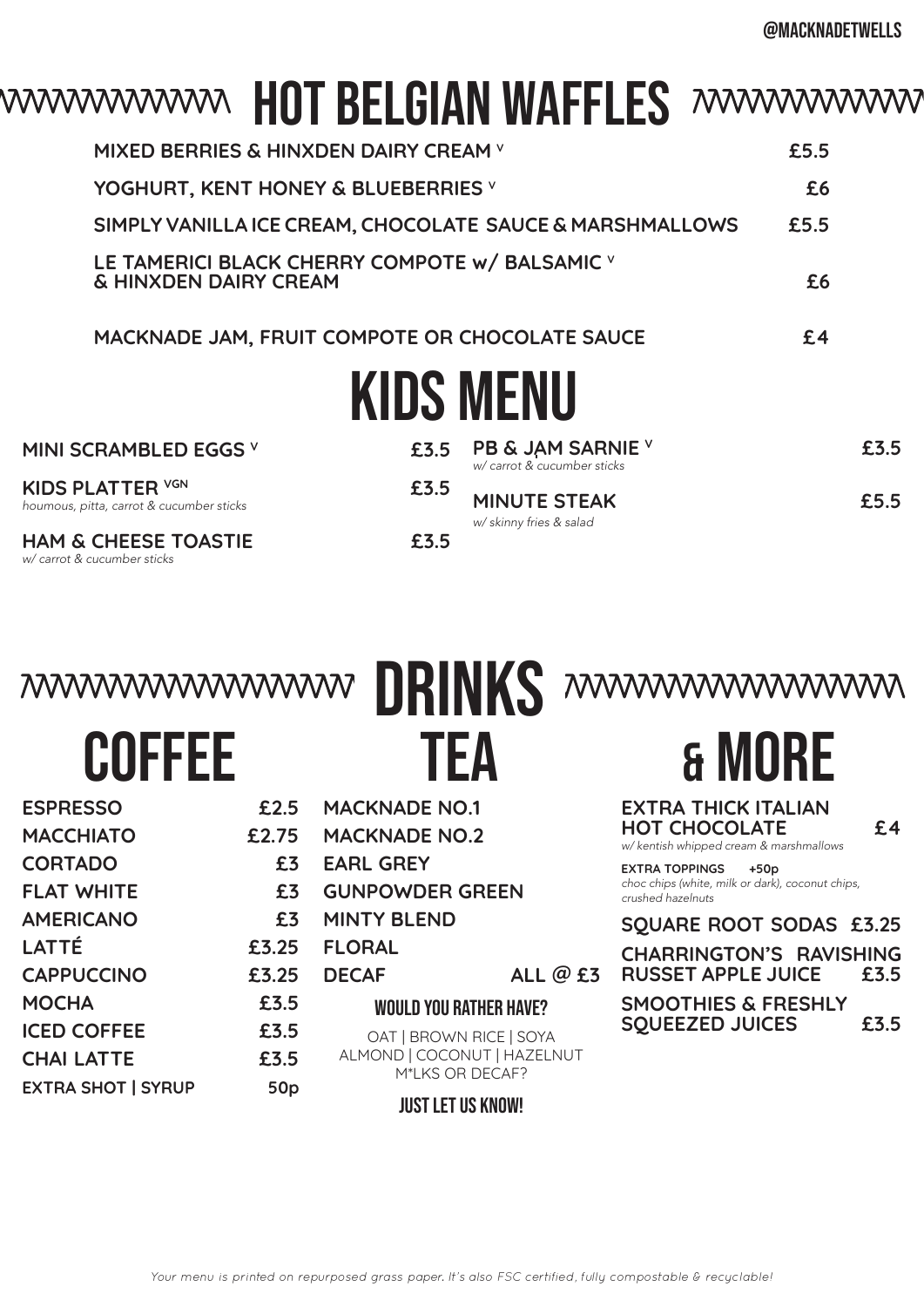## wwwwwwww HOT BELGIAN WAFFLES wwwwwwww

| <b>KIDS MENU</b>                                                                   |      |  |
|------------------------------------------------------------------------------------|------|--|
| MACKNADE JAM, FRUIT COMPOTE OR CHOCOLATE SAUCE                                     | £4   |  |
| LE TAMERICI BLACK CHERRY COMPOTE W/ BALSAMIC V<br><b>&amp; HINXDEN DAIRY CREAM</b> | £6   |  |
| SIMPLY VANILLA ICE CREAM, CHOCOLATE SAUCE & MARSHMALLOWS                           | £5.5 |  |
| YOGHURT, KENT HONEY & BLUEBERRIES V                                                | £6   |  |
| MIXED BERRIES & HINXDEN DAIRY CREAM V                                              | £5.5 |  |

| MINI SCRAMBLED EGGS V                                               |      | £3.5 PB & JAM SARNIE $\vee$<br>w/ carrot & cucumber sticks | £3.5 |
|---------------------------------------------------------------------|------|------------------------------------------------------------|------|
| <b>KIDS PLATTER VGN</b><br>houmous, pitta, carrot & cucumber sticks | £3.5 | <b>MINUTE STEAK</b><br>w/ skinny fries & salad             | £5.5 |
| <b>HAM &amp; CHEESE TOASTIE</b><br>w/ carrot & cucumber sticks      | £3.5 |                                                            |      |

drinks

| <b>COFFEE</b> |  |
|---------------|--|

**ESPRESSO £2.5 MACCHIATO £2.75 CORTADO £3 FLAT WHITE £3 AMERICANO £3 LATTÉ £3.25 CAPPUCCINO £3.25 MOCHA £3.5 ICED COFFEE £3.5 CHAI LATTE £3.5 EXTRA SHOT | SYRUP 50p**

TEA

**MACKNADE NO.1 MACKNADE NO.2**

**GUNPOWDER GREEN**

**EARL GREY**

**FLORAL** 

**MINTY BLEND**

## & more

**EXTRA THICK ITALIAN HOT CHOCOLATE £4** *w/ kentish whipped cream & marshmallows* **EXTRA TOPPINGS +50p** *choc chips (white, milk or dark), coconut chips, crushed hazelnuts*  **SQUARE ROOT SODAS £3.25**

> **CHARRINGTON'S RAVISHING RUSSET APPLE JUICE £3.5**

**SMOOTHIES & FRESHLY SQUEEZED JUICES £3.5**

| <b>DECAF</b>                  | ALL $@$ £3 |  |
|-------------------------------|------------|--|
| <b>WOULD YOU RATHER HAVE?</b> |            |  |

OAT | BROWN RICE | SOYA ALMOND | COCONUT | HAZELNUT M\*LKS OR DECAF?

Just let us know!